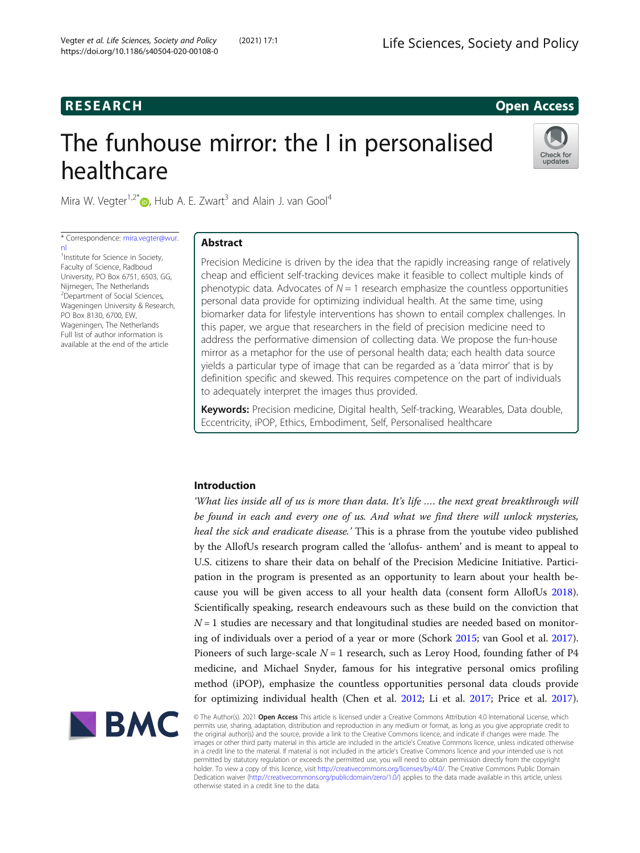# **RESEARCH RESEARCH CONSUMING ACCESS**

# The funhouse mirror: the I in personalised healthcare



Mira W. Vegter<sup>1[,](http://orcid.org/0000-0003-0851-4711)2\*</sup> $\bullet$ , Hub A. E. Zwart<sup>3</sup> and Alain J. van Gool<sup>4</sup>

\* Correspondence: [mira.vegter@wur.](mailto:mira.vegter@wur.nl) [nl](mailto:mira.vegter@wur.nl)

<sup>1</sup>Institute for Science in Society, Faculty of Science, Radboud University, PO Box 6751, 6503, GG, Nijmegen, The Netherlands <sup>2</sup> Department of Social Sciences, Wageningen University & Research, PO Box 8130, 6700, EW, Wageningen, The Netherlands Full list of author information is available at the end of the article

# Abstract

Precision Medicine is driven by the idea that the rapidly increasing range of relatively cheap and efficient self-tracking devices make it feasible to collect multiple kinds of phenotypic data. Advocates of  $N = 1$  research emphasize the countless opportunities personal data provide for optimizing individual health. At the same time, using biomarker data for lifestyle interventions has shown to entail complex challenges. In this paper, we argue that researchers in the field of precision medicine need to address the performative dimension of collecting data. We propose the fun-house mirror as a metaphor for the use of personal health data; each health data source yields a particular type of image that can be regarded as a 'data mirror' that is by definition specific and skewed. This requires competence on the part of individuals to adequately interpret the images thus provided.

Keywords: Precision medicine, Digital health, Self-tracking, Wearables, Data double, Eccentricity, iPOP, Ethics, Embodiment, Self, Personalised healthcare

# Introduction

'What lies inside all of us is more than data. It's life …. the next great breakthrough will be found in each and every one of us. And what we find there will unlock mysteries, heal the sick and eradicate disease.' This is a phrase from the youtube video published by the AllofUs research program called the 'allofus- anthem' and is meant to appeal to U.S. citizens to share their data on behalf of the Precision Medicine Initiative. Participation in the program is presented as an opportunity to learn about your health because you will be given access to all your health data (consent form AllofUs [2018](#page-13-0)). Scientifically speaking, research endeavours such as these build on the conviction that  $N = 1$  studies are necessary and that longitudinal studies are needed based on monitoring of individuals over a period of a year or more (Schork [2015;](#page-14-0) van Gool et al. [2017](#page-14-0)). Pioneers of such large-scale  $N = 1$  research, such as Leroy Hood, founding father of P4 medicine, and Michael Snyder, famous for his integrative personal omics profiling method (iPOP), emphasize the countless opportunities personal data clouds provide for optimizing individual health (Chen et al. [2012](#page-13-0); Li et al. [2017;](#page-13-0) Price et al. [2017](#page-13-0)).



© The Author(s). 2021 **Open Access** This article is licensed under a Creative Commons Attribution 4.0 International License, which permits use, sharing, adaptation, distribution and reproduction in any medium or format, as long as you give appropriate credit to the original author(s) and the source, provide a link to the Creative Commons licence, and indicate if changes were made. The images or other third party material in this article are included in the article's Creative Commons licence, unless indicated otherwise in a credit line to the material. If material is not included in the article's Creative Commons licence and your intended use is not permitted by statutory regulation or exceeds the permitted use, you will need to obtain permission directly from the copyright<br>holder. To view a copy of this licence, visit [http://creativecommons.org/licenses/by/4.0/.](http://creativecommons.org/licenses/by/4.0/) The Dedication waiver [\(http://creativecommons.org/publicdomain/zero/1.0/](http://creativecommons.org/publicdomain/zero/1.0/)) applies to the data made available in this article, unless otherwise stated in a credit line to the data.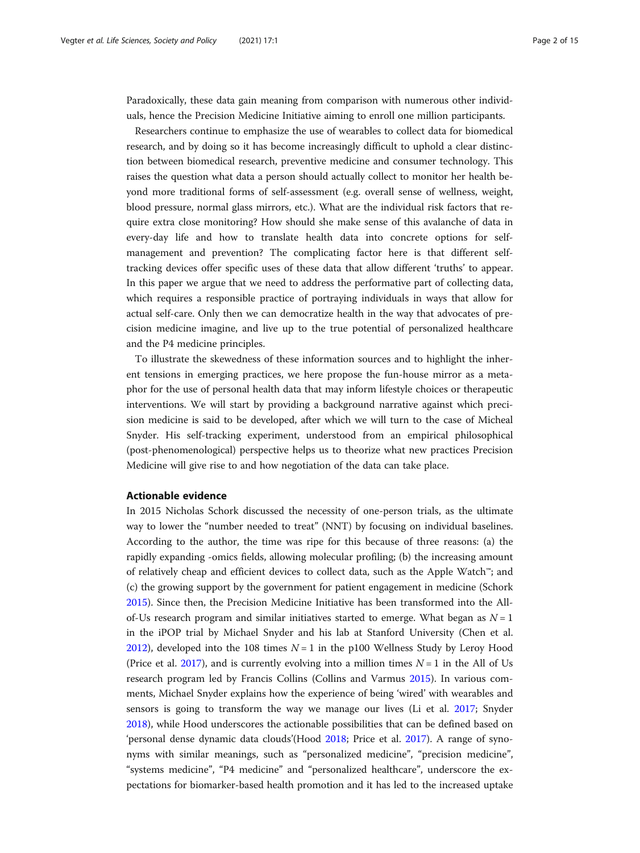Paradoxically, these data gain meaning from comparison with numerous other individuals, hence the Precision Medicine Initiative aiming to enroll one million participants.

Researchers continue to emphasize the use of wearables to collect data for biomedical research, and by doing so it has become increasingly difficult to uphold a clear distinction between biomedical research, preventive medicine and consumer technology. This raises the question what data a person should actually collect to monitor her health beyond more traditional forms of self-assessment (e.g. overall sense of wellness, weight, blood pressure, normal glass mirrors, etc.). What are the individual risk factors that require extra close monitoring? How should she make sense of this avalanche of data in every-day life and how to translate health data into concrete options for selfmanagement and prevention? The complicating factor here is that different selftracking devices offer specific uses of these data that allow different 'truths' to appear. In this paper we argue that we need to address the performative part of collecting data, which requires a responsible practice of portraying individuals in ways that allow for actual self-care. Only then we can democratize health in the way that advocates of precision medicine imagine, and live up to the true potential of personalized healthcare and the P4 medicine principles.

To illustrate the skewedness of these information sources and to highlight the inherent tensions in emerging practices, we here propose the fun-house mirror as a metaphor for the use of personal health data that may inform lifestyle choices or therapeutic interventions. We will start by providing a background narrative against which precision medicine is said to be developed, after which we will turn to the case of Micheal Snyder. His self-tracking experiment, understood from an empirical philosophical (post-phenomenological) perspective helps us to theorize what new practices Precision Medicine will give rise to and how negotiation of the data can take place.

# Actionable evidence

In 2015 Nicholas Schork discussed the necessity of one-person trials, as the ultimate way to lower the "number needed to treat" (NNT) by focusing on individual baselines. According to the author, the time was ripe for this because of three reasons: (a) the rapidly expanding -omics fields, allowing molecular profiling; (b) the increasing amount of relatively cheap and efficient devices to collect data, such as the Apple Watch™; and (c) the growing support by the government for patient engagement in medicine (Schork [2015](#page-14-0)). Since then, the Precision Medicine Initiative has been transformed into the Allof-Us research program and similar initiatives started to emerge. What began as  $N = 1$ in the iPOP trial by Michael Snyder and his lab at Stanford University (Chen et al. [2012](#page-13-0)), developed into the 108 times  $N = 1$  in the p100 Wellness Study by Leroy Hood (Price et al. [2017\)](#page-13-0), and is currently evolving into a million times  $N = 1$  in the All of Us research program led by Francis Collins (Collins and Varmus [2015\)](#page-13-0). In various comments, Michael Snyder explains how the experience of being 'wired' with wearables and sensors is going to transform the way we manage our lives (Li et al. [2017;](#page-13-0) Snyder [2018](#page-14-0)), while Hood underscores the actionable possibilities that can be defined based on 'personal dense dynamic data clouds'(Hood [2018;](#page-13-0) Price et al. [2017](#page-13-0)). A range of synonyms with similar meanings, such as "personalized medicine", "precision medicine", "systems medicine", "P4 medicine" and "personalized healthcare", underscore the expectations for biomarker-based health promotion and it has led to the increased uptake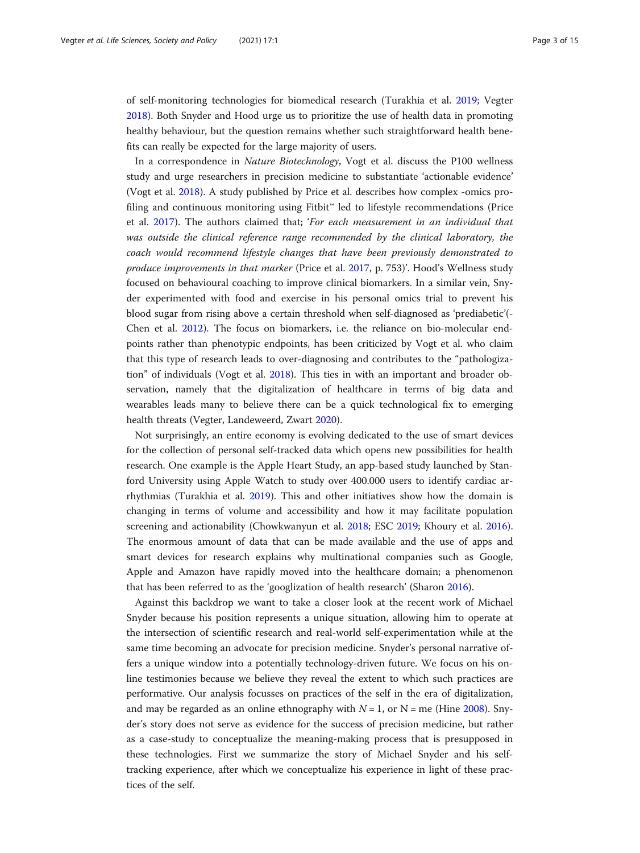of self-monitoring technologies for biomedical research (Turakhia et al. [2019](#page-14-0); Vegter [2018](#page-14-0)). Both Snyder and Hood urge us to prioritize the use of health data in promoting healthy behaviour, but the question remains whether such straightforward health benefits can really be expected for the large majority of users.

In a correspondence in Nature Biotechnology, Vogt et al. discuss the P100 wellness study and urge researchers in precision medicine to substantiate 'actionable evidence' (Vogt et al. [2018](#page-14-0)). A study published by Price et al. describes how complex -omics profiling and continuous monitoring using Fitbit™ led to lifestyle recommendations (Price et al. [2017](#page-13-0)). The authors claimed that; 'For each measurement in an individual that was outside the clinical reference range recommended by the clinical laboratory, the coach would recommend lifestyle changes that have been previously demonstrated to produce improvements in that marker (Price et al. [2017](#page-13-0), p. 753)'. Hood's Wellness study focused on behavioural coaching to improve clinical biomarkers. In a similar vein, Snyder experimented with food and exercise in his personal omics trial to prevent his blood sugar from rising above a certain threshold when self-diagnosed as 'prediabetic'(- Chen et al. [2012](#page-13-0)). The focus on biomarkers, i.e. the reliance on bio-molecular endpoints rather than phenotypic endpoints, has been criticized by Vogt et al. who claim that this type of research leads to over-diagnosing and contributes to the "pathologization" of individuals (Vogt et al. [2018](#page-14-0)). This ties in with an important and broader observation, namely that the digitalization of healthcare in terms of big data and wearables leads many to believe there can be a quick technological fix to emerging health threats (Vegter, Landeweerd, Zwart [2020](#page-14-0)).

Not surprisingly, an entire economy is evolving dedicated to the use of smart devices for the collection of personal self-tracked data which opens new possibilities for health research. One example is the Apple Heart Study, an app-based study launched by Stanford University using Apple Watch to study over 400.000 users to identify cardiac arrhythmias (Turakhia et al. [2019\)](#page-14-0). This and other initiatives show how the domain is changing in terms of volume and accessibility and how it may facilitate population screening and actionability (Chowkwanyun et al. [2018;](#page-13-0) ESC [2019](#page-13-0); Khoury et al. [2016](#page-13-0)). The enormous amount of data that can be made available and the use of apps and smart devices for research explains why multinational companies such as Google, Apple and Amazon have rapidly moved into the healthcare domain; a phenomenon that has been referred to as the 'googlization of health research' (Sharon [2016\)](#page-14-0).

Against this backdrop we want to take a closer look at the recent work of Michael Snyder because his position represents a unique situation, allowing him to operate at the intersection of scientific research and real-world self-experimentation while at the same time becoming an advocate for precision medicine. Snyder's personal narrative offers a unique window into a potentially technology-driven future. We focus on his online testimonies because we believe they reveal the extent to which such practices are performative. Our analysis focusses on practices of the self in the era of digitalization, and may be regarded as an online ethnography with  $N = 1$ , or  $N =$  me (Hine [2008\)](#page-13-0). Snyder's story does not serve as evidence for the success of precision medicine, but rather as a case-study to conceptualize the meaning-making process that is presupposed in these technologies. First we summarize the story of Michael Snyder and his selftracking experience, after which we conceptualize his experience in light of these practices of the self.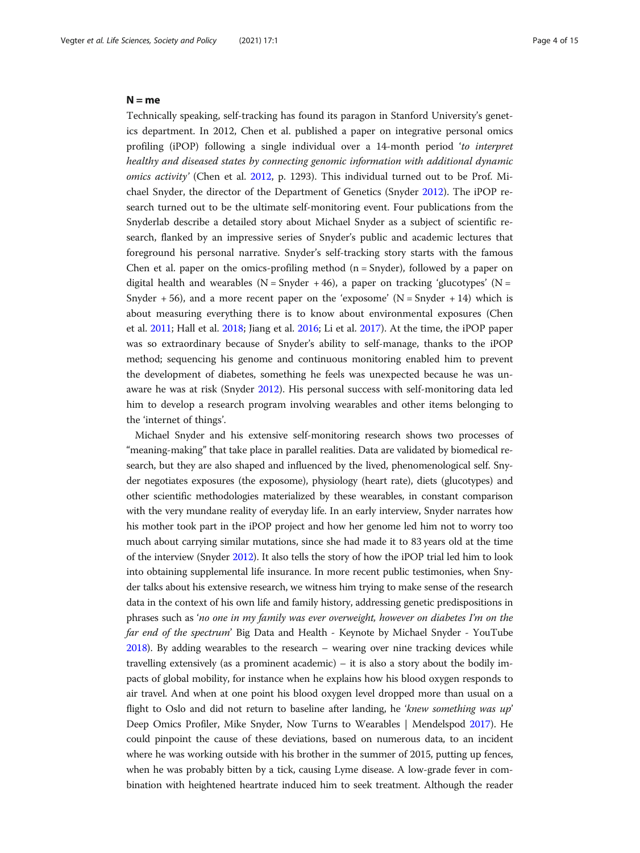# $N = me$

Technically speaking, self-tracking has found its paragon in Stanford University's genetics department. In 2012, Chen et al. published a paper on integrative personal omics profiling (iPOP) following a single individual over a 14-month period 'to interpret healthy and diseased states by connecting genomic information with additional dynamic omics activity' (Chen et al. [2012,](#page-13-0) p. 1293). This individual turned out to be Prof. Michael Snyder, the director of the Department of Genetics (Snyder [2012\)](#page-14-0). The iPOP research turned out to be the ultimate self-monitoring event. Four publications from the Snyderlab describe a detailed story about Michael Snyder as a subject of scientific research, flanked by an impressive series of Snyder's public and academic lectures that foreground his personal narrative. Snyder's self-tracking story starts with the famous Chen et al. paper on the omics-profiling method  $(n = Shyder)$ , followed by a paper on digital health and wearables ( $N =$  Snyder + 46), a paper on tracking 'glucotypes' ( $N =$ Snyder + 56), and a more recent paper on the 'exposome' ( $N =$  Snyder + 14) which is about measuring everything there is to know about environmental exposures (Chen et al. [2011;](#page-13-0) Hall et al. [2018;](#page-13-0) Jiang et al. [2016;](#page-13-0) Li et al. [2017\)](#page-13-0). At the time, the iPOP paper was so extraordinary because of Snyder's ability to self-manage, thanks to the iPOP method; sequencing his genome and continuous monitoring enabled him to prevent the development of diabetes, something he feels was unexpected because he was unaware he was at risk (Snyder [2012\)](#page-14-0). His personal success with self-monitoring data led him to develop a research program involving wearables and other items belonging to the 'internet of things'.

Michael Snyder and his extensive self-monitoring research shows two processes of "meaning-making" that take place in parallel realities. Data are validated by biomedical research, but they are also shaped and influenced by the lived, phenomenological self. Snyder negotiates exposures (the exposome), physiology (heart rate), diets (glucotypes) and other scientific methodologies materialized by these wearables, in constant comparison with the very mundane reality of everyday life. In an early interview, Snyder narrates how his mother took part in the iPOP project and how her genome led him not to worry too much about carrying similar mutations, since she had made it to 83 years old at the time of the interview (Snyder [2012\)](#page-14-0). It also tells the story of how the iPOP trial led him to look into obtaining supplemental life insurance. In more recent public testimonies, when Snyder talks about his extensive research, we witness him trying to make sense of the research data in the context of his own life and family history, addressing genetic predispositions in phrases such as 'no one in my family was ever overweight, however on diabetes I'm on the far end of the spectrum' Big Data and Health - Keynote by Michael Snyder - YouTube [2018\)](#page-13-0). By adding wearables to the research – wearing over nine tracking devices while travelling extensively (as a prominent academic) – it is also a story about the bodily impacts of global mobility, for instance when he explains how his blood oxygen responds to air travel. And when at one point his blood oxygen level dropped more than usual on a flight to Oslo and did not return to baseline after landing, he 'knew something was up' Deep Omics Profiler, Mike Snyder, Now Turns to Wearables | Mendelspod [2017\)](#page-13-0). He could pinpoint the cause of these deviations, based on numerous data, to an incident where he was working outside with his brother in the summer of 2015, putting up fences, when he was probably bitten by a tick, causing Lyme disease. A low-grade fever in combination with heightened heartrate induced him to seek treatment. Although the reader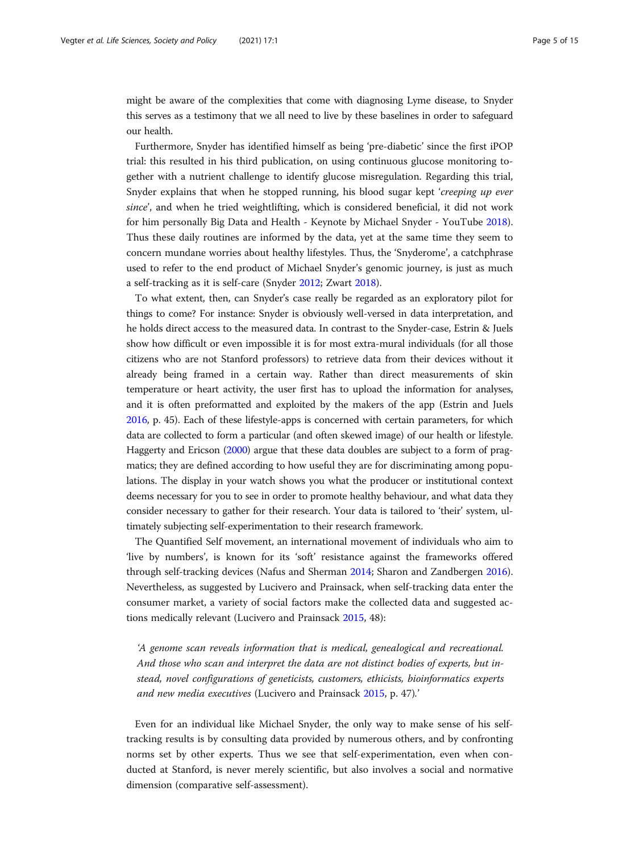might be aware of the complexities that come with diagnosing Lyme disease, to Snyder this serves as a testimony that we all need to live by these baselines in order to safeguard our health.

Furthermore, Snyder has identified himself as being 'pre-diabetic' since the first iPOP trial: this resulted in his third publication, on using continuous glucose monitoring together with a nutrient challenge to identify glucose misregulation. Regarding this trial, Snyder explains that when he stopped running, his blood sugar kept 'creeping up ever since', and when he tried weightlifting, which is considered beneficial, it did not work for him personally Big Data and Health - Keynote by Michael Snyder - YouTube [2018](#page-13-0)). Thus these daily routines are informed by the data, yet at the same time they seem to concern mundane worries about healthy lifestyles. Thus, the 'Snyderome', a catchphrase used to refer to the end product of Michael Snyder's genomic journey, is just as much a self-tracking as it is self-care (Snyder [2012](#page-14-0); Zwart [2018](#page-14-0)).

To what extent, then, can Snyder's case really be regarded as an exploratory pilot for things to come? For instance: Snyder is obviously well-versed in data interpretation, and he holds direct access to the measured data. In contrast to the Snyder-case, Estrin & Juels show how difficult or even impossible it is for most extra-mural individuals (for all those citizens who are not Stanford professors) to retrieve data from their devices without it already being framed in a certain way. Rather than direct measurements of skin temperature or heart activity, the user first has to upload the information for analyses, and it is often preformatted and exploited by the makers of the app (Estrin and Juels [2016,](#page-13-0) p. 45). Each of these lifestyle-apps is concerned with certain parameters, for which data are collected to form a particular (and often skewed image) of our health or lifestyle. Haggerty and Ericson ([2000](#page-13-0)) argue that these data doubles are subject to a form of pragmatics; they are defined according to how useful they are for discriminating among populations. The display in your watch shows you what the producer or institutional context deems necessary for you to see in order to promote healthy behaviour, and what data they consider necessary to gather for their research. Your data is tailored to 'their' system, ultimately subjecting self-experimentation to their research framework.

The Quantified Self movement, an international movement of individuals who aim to 'live by numbers', is known for its 'soft' resistance against the frameworks offered through self-tracking devices (Nafus and Sherman [2014;](#page-13-0) Sharon and Zandbergen [2016](#page-14-0)). Nevertheless, as suggested by Lucivero and Prainsack, when self-tracking data enter the consumer market, a variety of social factors make the collected data and suggested actions medically relevant (Lucivero and Prainsack [2015,](#page-13-0) 48):

'A genome scan reveals information that is medical, genealogical and recreational. And those who scan and interpret the data are not distinct bodies of experts, but instead, novel configurations of geneticists, customers, ethicists, bioinformatics experts and new media executives (Lucivero and Prainsack [2015](#page-13-0), p. 47).'

Even for an individual like Michael Snyder, the only way to make sense of his selftracking results is by consulting data provided by numerous others, and by confronting norms set by other experts. Thus we see that self-experimentation, even when conducted at Stanford, is never merely scientific, but also involves a social and normative dimension (comparative self-assessment).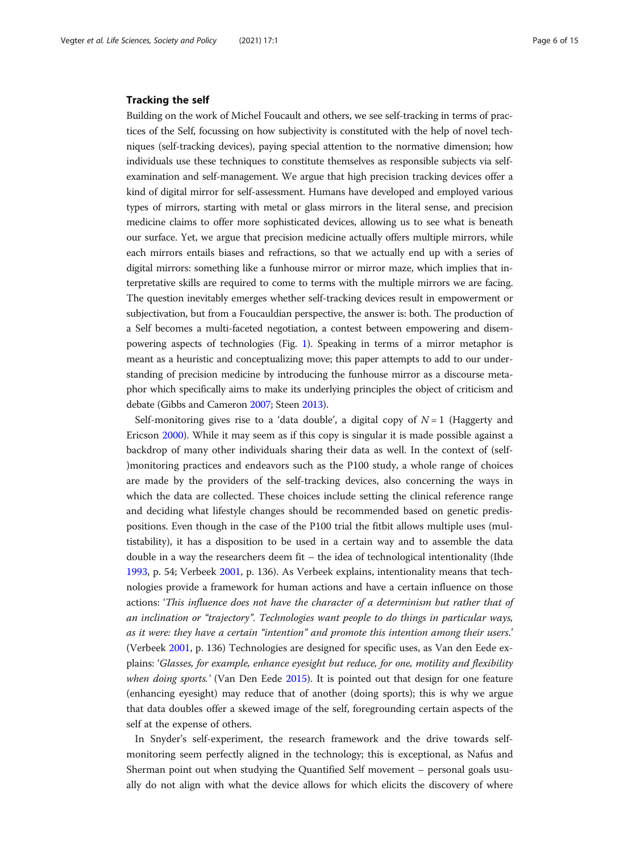# Tracking the self

Building on the work of Michel Foucault and others, we see self-tracking in terms of practices of the Self, focussing on how subjectivity is constituted with the help of novel techniques (self-tracking devices), paying special attention to the normative dimension; how individuals use these techniques to constitute themselves as responsible subjects via selfexamination and self-management. We argue that high precision tracking devices offer a kind of digital mirror for self-assessment. Humans have developed and employed various types of mirrors, starting with metal or glass mirrors in the literal sense, and precision medicine claims to offer more sophisticated devices, allowing us to see what is beneath our surface. Yet, we argue that precision medicine actually offers multiple mirrors, while each mirrors entails biases and refractions, so that we actually end up with a series of digital mirrors: something like a funhouse mirror or mirror maze, which implies that interpretative skills are required to come to terms with the multiple mirrors we are facing. The question inevitably emerges whether self-tracking devices result in empowerment or subjectivation, but from a Foucauldian perspective, the answer is: both. The production of a Self becomes a multi-faceted negotiation, a contest between empowering and disempowering aspects of technologies (Fig. [1\)](#page-6-0). Speaking in terms of a mirror metaphor is meant as a heuristic and conceptualizing move; this paper attempts to add to our understanding of precision medicine by introducing the funhouse mirror as a discourse metaphor which specifically aims to make its underlying principles the object of criticism and debate (Gibbs and Cameron [2007](#page-13-0); Steen [2013\)](#page-14-0).

Self-monitoring gives rise to a 'data double', a digital copy of  $N=1$  (Haggerty and Ericson [2000\)](#page-13-0). While it may seem as if this copy is singular it is made possible against a backdrop of many other individuals sharing their data as well. In the context of (self- )monitoring practices and endeavors such as the P100 study, a whole range of choices are made by the providers of the self-tracking devices, also concerning the ways in which the data are collected. These choices include setting the clinical reference range and deciding what lifestyle changes should be recommended based on genetic predispositions. Even though in the case of the P100 trial the fitbit allows multiple uses (multistability), it has a disposition to be used in a certain way and to assemble the data double in a way the researchers deem fit – the idea of technological intentionality (Ihde [1993](#page-13-0), p. 54; Verbeek [2001,](#page-14-0) p. 136). As Verbeek explains, intentionality means that technologies provide a framework for human actions and have a certain influence on those actions: 'This influence does not have the character of a determinism but rather that of an inclination or "trajectory". Technologies want people to do things in particular ways, as it were: they have a certain "intention" and promote this intention among their users.' (Verbeek [2001,](#page-14-0) p. 136) Technologies are designed for specific uses, as Van den Eede explains: 'Glasses, for example, enhance eyesight but reduce, for one, motility and flexibility when doing sports.' (Van Den Eede [2015\)](#page-14-0). It is pointed out that design for one feature (enhancing eyesight) may reduce that of another (doing sports); this is why we argue that data doubles offer a skewed image of the self, foregrounding certain aspects of the self at the expense of others.

In Snyder's self-experiment, the research framework and the drive towards selfmonitoring seem perfectly aligned in the technology; this is exceptional, as Nafus and Sherman point out when studying the Quantified Self movement – personal goals usually do not align with what the device allows for which elicits the discovery of where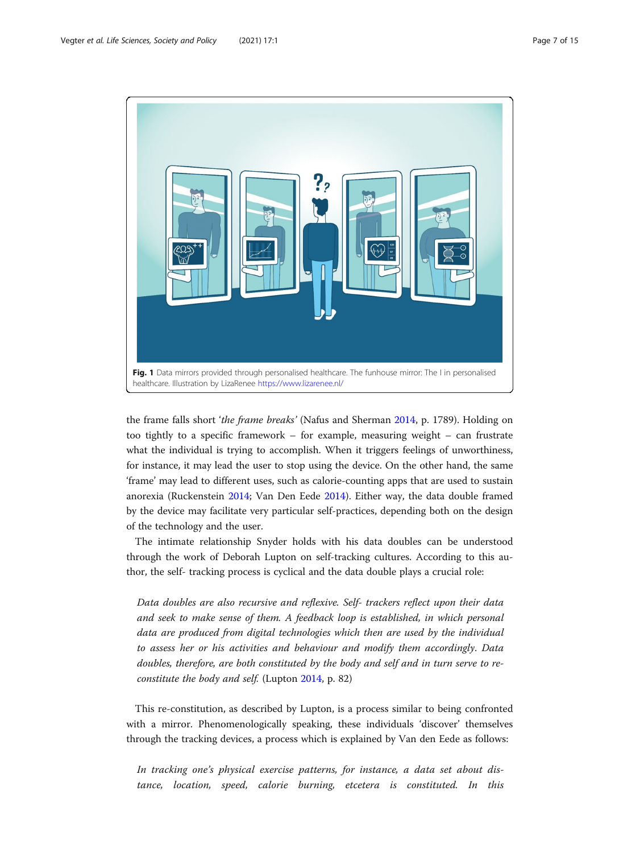<span id="page-6-0"></span>

the frame falls short 'the frame breaks' (Nafus and Sherman [2014,](#page-13-0) p. 1789). Holding on too tightly to a specific framework – for example, measuring weight – can frustrate what the individual is trying to accomplish. When it triggers feelings of unworthiness, for instance, it may lead the user to stop using the device. On the other hand, the same 'frame' may lead to different uses, such as calorie-counting apps that are used to sustain anorexia (Ruckenstein [2014](#page-13-0); Van Den Eede [2014\)](#page-14-0). Either way, the data double framed by the device may facilitate very particular self-practices, depending both on the design of the technology and the user.

The intimate relationship Snyder holds with his data doubles can be understood through the work of Deborah Lupton on self-tracking cultures. According to this author, the self- tracking process is cyclical and the data double plays a crucial role:

Data doubles are also recursive and reflexive. Self- trackers reflect upon their data and seek to make sense of them. A feedback loop is established, in which personal data are produced from digital technologies which then are used by the individual to assess her or his activities and behaviour and modify them accordingly. Data doubles, therefore, are both constituted by the body and self and in turn serve to reconstitute the body and self. (Lupton [2014,](#page-13-0) p. 82)

This re-constitution, as described by Lupton, is a process similar to being confronted with a mirror. Phenomenologically speaking, these individuals 'discover' themselves through the tracking devices, a process which is explained by Van den Eede as follows:

In tracking one's physical exercise patterns, for instance, a data set about distance, location, speed, calorie burning, etcetera is constituted. In this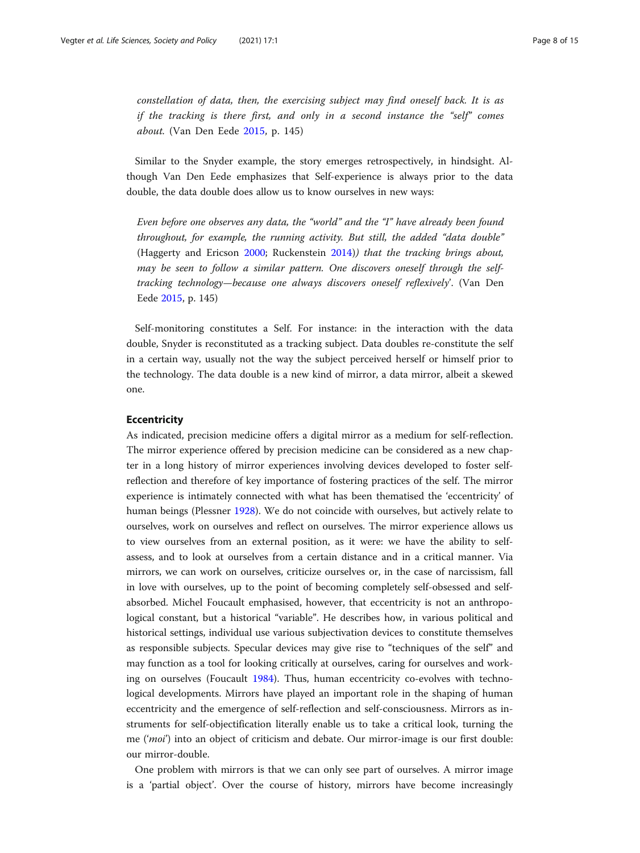constellation of data, then, the exercising subject may find oneself back. It is as if the tracking is there first, and only in a second instance the "self" comes about. (Van Den Eede [2015,](#page-14-0) p. 145)

Similar to the Snyder example, the story emerges retrospectively, in hindsight. Although Van Den Eede emphasizes that Self-experience is always prior to the data double, the data double does allow us to know ourselves in new ways:

Even before one observes any data, the "world" and the "I" have already been found throughout, for example, the running activity. But still, the added "data double" (Haggerty and Ericson [2000;](#page-13-0) Ruckenstein [2014\)](#page-13-0)) that the tracking brings about, may be seen to follow a similar pattern. One discovers oneself through the selftracking technology—because one always discovers oneself reflexively'. (Van Den Eede [2015,](#page-14-0) p. 145)

Self-monitoring constitutes a Self. For instance: in the interaction with the data double, Snyder is reconstituted as a tracking subject. Data doubles re-constitute the self in a certain way, usually not the way the subject perceived herself or himself prior to the technology. The data double is a new kind of mirror, a data mirror, albeit a skewed one.

# **Eccentricity**

As indicated, precision medicine offers a digital mirror as a medium for self-reflection. The mirror experience offered by precision medicine can be considered as a new chapter in a long history of mirror experiences involving devices developed to foster selfreflection and therefore of key importance of fostering practices of the self. The mirror experience is intimately connected with what has been thematised the 'eccentricity' of human beings (Plessner [1928\)](#page-13-0). We do not coincide with ourselves, but actively relate to ourselves, work on ourselves and reflect on ourselves. The mirror experience allows us to view ourselves from an external position, as it were: we have the ability to selfassess, and to look at ourselves from a certain distance and in a critical manner. Via mirrors, we can work on ourselves, criticize ourselves or, in the case of narcissism, fall in love with ourselves, up to the point of becoming completely self-obsessed and selfabsorbed. Michel Foucault emphasised, however, that eccentricity is not an anthropological constant, but a historical "variable". He describes how, in various political and historical settings, individual use various subjectivation devices to constitute themselves as responsible subjects. Specular devices may give rise to "techniques of the self" and may function as a tool for looking critically at ourselves, caring for ourselves and working on ourselves (Foucault [1984\)](#page-13-0). Thus, human eccentricity co-evolves with technological developments. Mirrors have played an important role in the shaping of human eccentricity and the emergence of self-reflection and self-consciousness. Mirrors as instruments for self-objectification literally enable us to take a critical look, turning the me ('moi') into an object of criticism and debate. Our mirror-image is our first double: our mirror-double.

One problem with mirrors is that we can only see part of ourselves. A mirror image is a 'partial object'. Over the course of history, mirrors have become increasingly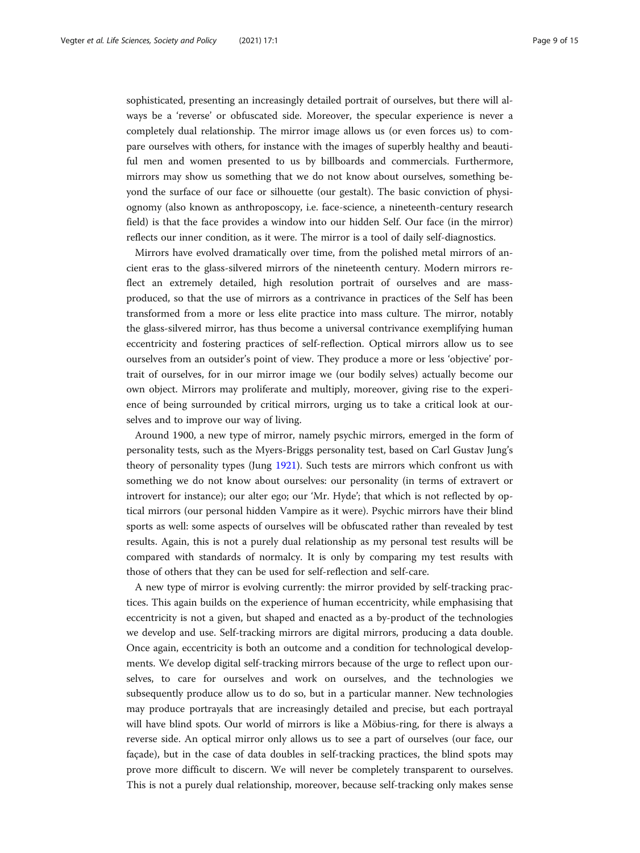sophisticated, presenting an increasingly detailed portrait of ourselves, but there will always be a 'reverse' or obfuscated side. Moreover, the specular experience is never a completely dual relationship. The mirror image allows us (or even forces us) to compare ourselves with others, for instance with the images of superbly healthy and beautiful men and women presented to us by billboards and commercials. Furthermore, mirrors may show us something that we do not know about ourselves, something beyond the surface of our face or silhouette (our gestalt). The basic conviction of physiognomy (also known as anthroposcopy, i.e. face-science, a nineteenth-century research field) is that the face provides a window into our hidden Self. Our face (in the mirror) reflects our inner condition, as it were. The mirror is a tool of daily self-diagnostics.

Mirrors have evolved dramatically over time, from the polished metal mirrors of ancient eras to the glass-silvered mirrors of the nineteenth century. Modern mirrors reflect an extremely detailed, high resolution portrait of ourselves and are massproduced, so that the use of mirrors as a contrivance in practices of the Self has been transformed from a more or less elite practice into mass culture. The mirror, notably the glass-silvered mirror, has thus become a universal contrivance exemplifying human eccentricity and fostering practices of self-reflection. Optical mirrors allow us to see ourselves from an outsider's point of view. They produce a more or less 'objective' portrait of ourselves, for in our mirror image we (our bodily selves) actually become our own object. Mirrors may proliferate and multiply, moreover, giving rise to the experience of being surrounded by critical mirrors, urging us to take a critical look at ourselves and to improve our way of living.

Around 1900, a new type of mirror, namely psychic mirrors, emerged in the form of personality tests, such as the Myers-Briggs personality test, based on Carl Gustav Jung's theory of personality types (Jung [1921](#page-13-0)). Such tests are mirrors which confront us with something we do not know about ourselves: our personality (in terms of extravert or introvert for instance); our alter ego; our 'Mr. Hyde'; that which is not reflected by optical mirrors (our personal hidden Vampire as it were). Psychic mirrors have their blind sports as well: some aspects of ourselves will be obfuscated rather than revealed by test results. Again, this is not a purely dual relationship as my personal test results will be compared with standards of normalcy. It is only by comparing my test results with those of others that they can be used for self-reflection and self-care.

A new type of mirror is evolving currently: the mirror provided by self-tracking practices. This again builds on the experience of human eccentricity, while emphasising that eccentricity is not a given, but shaped and enacted as a by-product of the technologies we develop and use. Self-tracking mirrors are digital mirrors, producing a data double. Once again, eccentricity is both an outcome and a condition for technological developments. We develop digital self-tracking mirrors because of the urge to reflect upon ourselves, to care for ourselves and work on ourselves, and the technologies we subsequently produce allow us to do so, but in a particular manner. New technologies may produce portrayals that are increasingly detailed and precise, but each portrayal will have blind spots. Our world of mirrors is like a Möbius-ring, for there is always a reverse side. An optical mirror only allows us to see a part of ourselves (our face, our façade), but in the case of data doubles in self-tracking practices, the blind spots may prove more difficult to discern. We will never be completely transparent to ourselves. This is not a purely dual relationship, moreover, because self-tracking only makes sense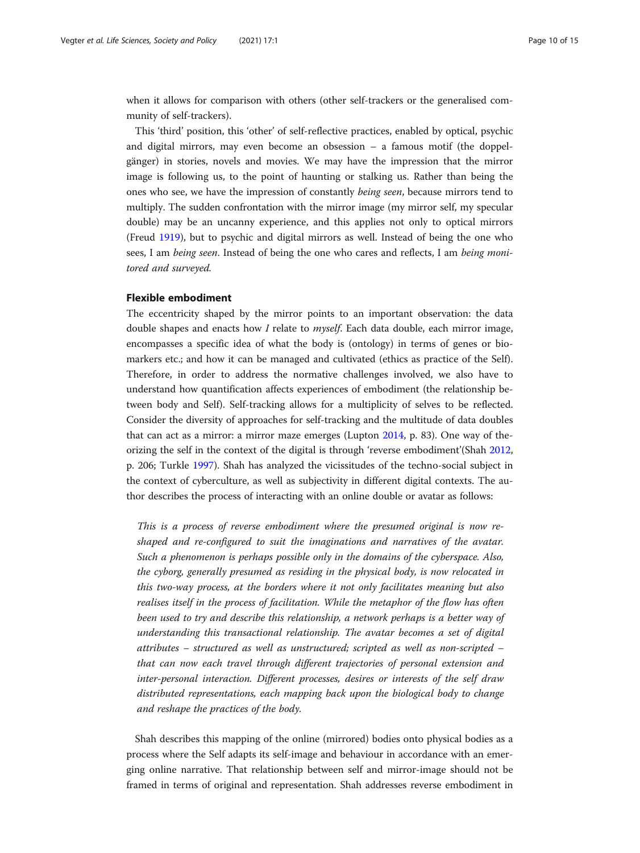when it allows for comparison with others (other self-trackers or the generalised community of self-trackers).

This 'third' position, this 'other' of self-reflective practices, enabled by optical, psychic and digital mirrors, may even become an obsession – a famous motif (the doppelgänger) in stories, novels and movies. We may have the impression that the mirror image is following us, to the point of haunting or stalking us. Rather than being the ones who see, we have the impression of constantly being seen, because mirrors tend to multiply. The sudden confrontation with the mirror image (my mirror self, my specular double) may be an uncanny experience, and this applies not only to optical mirrors (Freud [1919\)](#page-13-0), but to psychic and digital mirrors as well. Instead of being the one who sees, I am being seen. Instead of being the one who cares and reflects, I am being monitored and surveyed.

# Flexible embodiment

The eccentricity shaped by the mirror points to an important observation: the data double shapes and enacts how I relate to  $myself$ . Each data double, each mirror image, encompasses a specific idea of what the body is (ontology) in terms of genes or biomarkers etc.; and how it can be managed and cultivated (ethics as practice of the Self). Therefore, in order to address the normative challenges involved, we also have to understand how quantification affects experiences of embodiment (the relationship between body and Self). Self-tracking allows for a multiplicity of selves to be reflected. Consider the diversity of approaches for self-tracking and the multitude of data doubles that can act as a mirror: a mirror maze emerges (Lupton [2014,](#page-13-0) p. 83). One way of theorizing the self in the context of the digital is through 'reverse embodiment'(Shah [2012](#page-14-0), p. 206; Turkle [1997](#page-14-0)). Shah has analyzed the vicissitudes of the techno-social subject in the context of cyberculture, as well as subjectivity in different digital contexts. The author describes the process of interacting with an online double or avatar as follows:

This is a process of reverse embodiment where the presumed original is now reshaped and re-configured to suit the imaginations and narratives of the avatar. Such a phenomenon is perhaps possible only in the domains of the cyberspace. Also, the cyborg, generally presumed as residing in the physical body, is now relocated in this two-way process, at the borders where it not only facilitates meaning but also realises itself in the process of facilitation. While the metaphor of the flow has often been used to try and describe this relationship, a network perhaps is a better way of understanding this transactional relationship. The avatar becomes a set of digital attributes – structured as well as unstructured; scripted as well as non-scripted – that can now each travel through different trajectories of personal extension and inter-personal interaction. Different processes, desires or interests of the self draw distributed representations, each mapping back upon the biological body to change and reshape the practices of the body.

Shah describes this mapping of the online (mirrored) bodies onto physical bodies as a process where the Self adapts its self-image and behaviour in accordance with an emerging online narrative. That relationship between self and mirror-image should not be framed in terms of original and representation. Shah addresses reverse embodiment in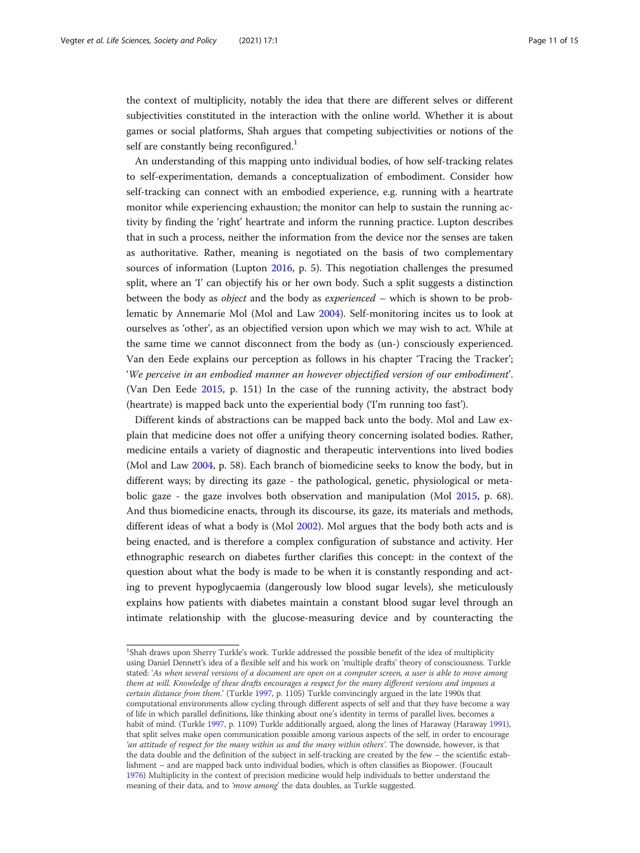the context of multiplicity, notably the idea that there are different selves or different subjectivities constituted in the interaction with the online world. Whether it is about games or social platforms, Shah argues that competing subjectivities or notions of the self are constantly being reconfigured.<sup>1</sup>

An understanding of this mapping unto individual bodies, of how self-tracking relates to self-experimentation, demands a conceptualization of embodiment. Consider how self-tracking can connect with an embodied experience, e.g. running with a heartrate monitor while experiencing exhaustion; the monitor can help to sustain the running activity by finding the 'right' heartrate and inform the running practice. Lupton describes that in such a process, neither the information from the device nor the senses are taken as authoritative. Rather, meaning is negotiated on the basis of two complementary sources of information (Lupton [2016](#page-13-0), p. 5). This negotiation challenges the presumed split, where an 'I' can objectify his or her own body. Such a split suggests a distinction between the body as object and the body as experienced – which is shown to be problematic by Annemarie Mol (Mol and Law [2004\)](#page-13-0). Self-monitoring incites us to look at ourselves as 'other', as an objectified version upon which we may wish to act. While at the same time we cannot disconnect from the body as (un-) consciously experienced. Van den Eede explains our perception as follows in his chapter 'Tracing the Tracker'; 'We perceive in an embodied manner an however objectified version of our embodiment'. (Van Den Eede [2015](#page-14-0), p. 151) In the case of the running activity, the abstract body (heartrate) is mapped back unto the experiential body ('I'm running too fast').

Different kinds of abstractions can be mapped back unto the body. Mol and Law explain that medicine does not offer a unifying theory concerning isolated bodies. Rather, medicine entails a variety of diagnostic and therapeutic interventions into lived bodies (Mol and Law [2004](#page-13-0), p. 58). Each branch of biomedicine seeks to know the body, but in different ways; by directing its gaze - the pathological, genetic, physiological or metabolic gaze - the gaze involves both observation and manipulation (Mol [2015](#page-13-0), p. 68). And thus biomedicine enacts, through its discourse, its gaze, its materials and methods, different ideas of what a body is (Mol [2002\)](#page-13-0). Mol argues that the body both acts and is being enacted, and is therefore a complex configuration of substance and activity. Her ethnographic research on diabetes further clarifies this concept: in the context of the question about what the body is made to be when it is constantly responding and acting to prevent hypoglycaemia (dangerously low blood sugar levels), she meticulously explains how patients with diabetes maintain a constant blood sugar level through an intimate relationship with the glucose-measuring device and by counteracting the

<sup>&</sup>lt;sup>1</sup>Shah draws upon Sherry Turkle's work. Turkle addressed the possible benefit of the idea of multiplicity using Daniel Dennett's idea of a flexible self and his work on 'multiple drafts' theory of consciousness. Turkle stated: 'As when several versions of a document are open on a computer screen, a user is able to move among them at will. Knowledge of these drafts encourages a respect for the many different versions and imposes a certain distance from them.' (Turkle [1997](#page-14-0), p. 1105) Turkle convincingly argued in the late 1990s that computational environments allow cycling through different aspects of self and that they have become a way of life in which parallel definitions, like thinking about one's identity in terms of parallel lives, becomes a habit of mind. (Turkle [1997,](#page-14-0) p. 1109) Turkle additionally argued, along the lines of Haraway (Haraway [1991](#page-13-0)), that split selves make open communication possible among various aspects of the self, in order to encourage 'an attitude of respect for the many within us and the many within others'. The downside, however, is that the data double and the definition of the subject in self-tracking are created by the few – the scientific establishment – and are mapped back unto individual bodies, which is often classifies as Biopower. (Foucault [1976](#page-13-0)) Multiplicity in the context of precision medicine would help individuals to better understand the meaning of their data, and to 'move among' the data doubles, as Turkle suggested.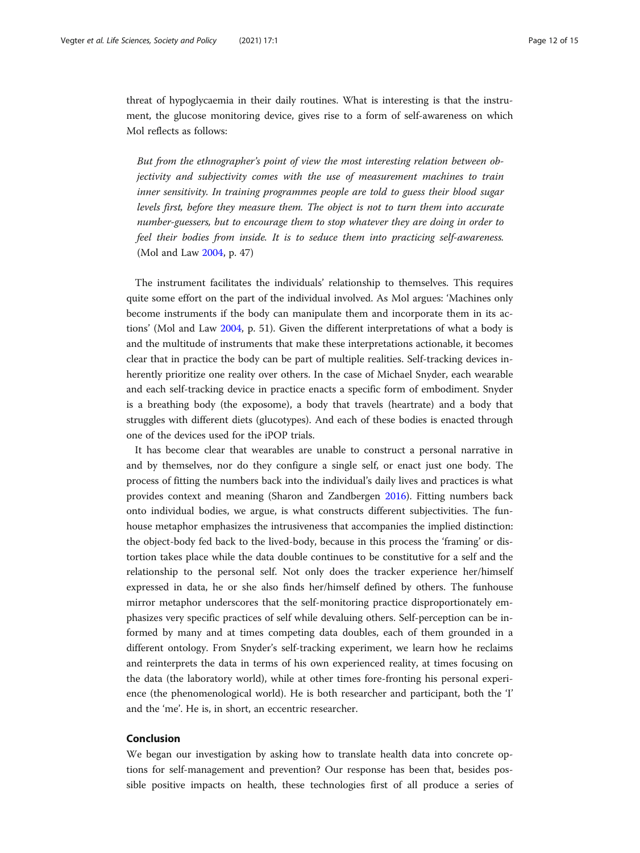threat of hypoglycaemia in their daily routines. What is interesting is that the instrument, the glucose monitoring device, gives rise to a form of self-awareness on which Mol reflects as follows:

But from the ethnographer's point of view the most interesting relation between objectivity and subjectivity comes with the use of measurement machines to train inner sensitivity. In training programmes people are told to guess their blood sugar levels first, before they measure them. The object is not to turn them into accurate number-guessers, but to encourage them to stop whatever they are doing in order to feel their bodies from inside. It is to seduce them into practicing self-awareness. (Mol and Law [2004,](#page-13-0) p. 47)

The instrument facilitates the individuals' relationship to themselves. This requires quite some effort on the part of the individual involved. As Mol argues: 'Machines only become instruments if the body can manipulate them and incorporate them in its actions' (Mol and Law [2004,](#page-13-0) p. 51). Given the different interpretations of what a body is and the multitude of instruments that make these interpretations actionable, it becomes clear that in practice the body can be part of multiple realities. Self-tracking devices inherently prioritize one reality over others. In the case of Michael Snyder, each wearable and each self-tracking device in practice enacts a specific form of embodiment. Snyder is a breathing body (the exposome), a body that travels (heartrate) and a body that struggles with different diets (glucotypes). And each of these bodies is enacted through one of the devices used for the iPOP trials.

It has become clear that wearables are unable to construct a personal narrative in and by themselves, nor do they configure a single self, or enact just one body. The process of fitting the numbers back into the individual's daily lives and practices is what provides context and meaning (Sharon and Zandbergen [2016](#page-14-0)). Fitting numbers back onto individual bodies, we argue, is what constructs different subjectivities. The funhouse metaphor emphasizes the intrusiveness that accompanies the implied distinction: the object-body fed back to the lived-body, because in this process the 'framing' or distortion takes place while the data double continues to be constitutive for a self and the relationship to the personal self. Not only does the tracker experience her/himself expressed in data, he or she also finds her/himself defined by others. The funhouse mirror metaphor underscores that the self-monitoring practice disproportionately emphasizes very specific practices of self while devaluing others. Self-perception can be informed by many and at times competing data doubles, each of them grounded in a different ontology. From Snyder's self-tracking experiment, we learn how he reclaims and reinterprets the data in terms of his own experienced reality, at times focusing on the data (the laboratory world), while at other times fore-fronting his personal experience (the phenomenological world). He is both researcher and participant, both the 'I' and the 'me'. He is, in short, an eccentric researcher.

# Conclusion

We began our investigation by asking how to translate health data into concrete options for self-management and prevention? Our response has been that, besides possible positive impacts on health, these technologies first of all produce a series of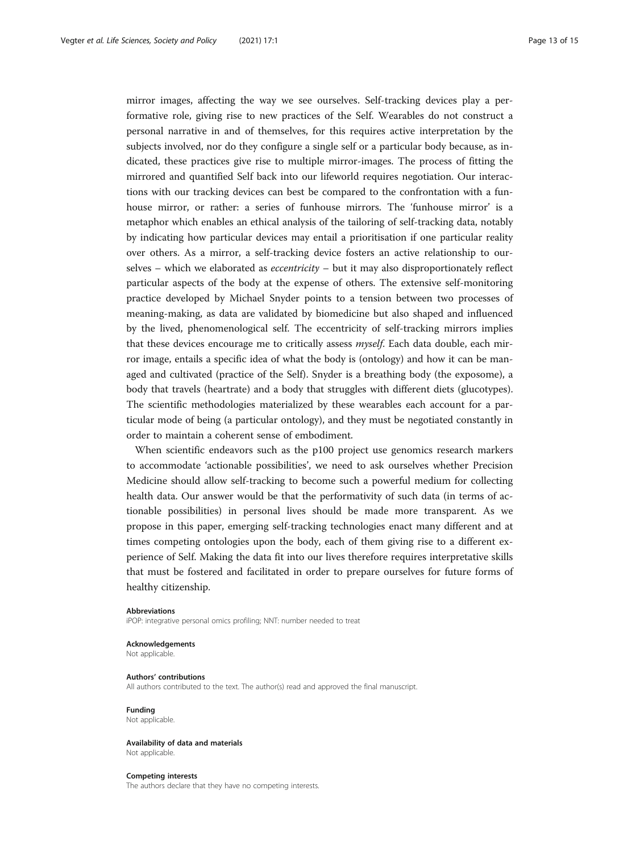mirror images, affecting the way we see ourselves. Self-tracking devices play a performative role, giving rise to new practices of the Self. Wearables do not construct a personal narrative in and of themselves, for this requires active interpretation by the subjects involved, nor do they configure a single self or a particular body because, as indicated, these practices give rise to multiple mirror-images. The process of fitting the mirrored and quantified Self back into our lifeworld requires negotiation. Our interactions with our tracking devices can best be compared to the confrontation with a funhouse mirror, or rather: a series of funhouse mirrors. The 'funhouse mirror' is a metaphor which enables an ethical analysis of the tailoring of self-tracking data, notably by indicating how particular devices may entail a prioritisation if one particular reality over others. As a mirror, a self-tracking device fosters an active relationship to ourselves – which we elaborated as *eccentricity* – but it may also disproportionately reflect particular aspects of the body at the expense of others. The extensive self-monitoring practice developed by Michael Snyder points to a tension between two processes of meaning-making, as data are validated by biomedicine but also shaped and influenced by the lived, phenomenological self. The eccentricity of self-tracking mirrors implies that these devices encourage me to critically assess *myself*. Each data double, each mirror image, entails a specific idea of what the body is (ontology) and how it can be managed and cultivated (practice of the Self). Snyder is a breathing body (the exposome), a body that travels (heartrate) and a body that struggles with different diets (glucotypes). The scientific methodologies materialized by these wearables each account for a particular mode of being (a particular ontology), and they must be negotiated constantly in order to maintain a coherent sense of embodiment.

When scientific endeavors such as the p100 project use genomics research markers to accommodate 'actionable possibilities', we need to ask ourselves whether Precision Medicine should allow self-tracking to become such a powerful medium for collecting health data. Our answer would be that the performativity of such data (in terms of actionable possibilities) in personal lives should be made more transparent. As we propose in this paper, emerging self-tracking technologies enact many different and at times competing ontologies upon the body, each of them giving rise to a different experience of Self. Making the data fit into our lives therefore requires interpretative skills that must be fostered and facilitated in order to prepare ourselves for future forms of healthy citizenship.

#### Abbreviations

iPOP: integrative personal omics profiling; NNT: number needed to treat

#### Acknowledgements Not applicable.

## Authors' contributions

All authors contributed to the text. The author(s) read and approved the final manuscript.

Funding Not applicable.

Availability of data and materials Not applicable.

#### Competing interests

The authors declare that they have no competing interests.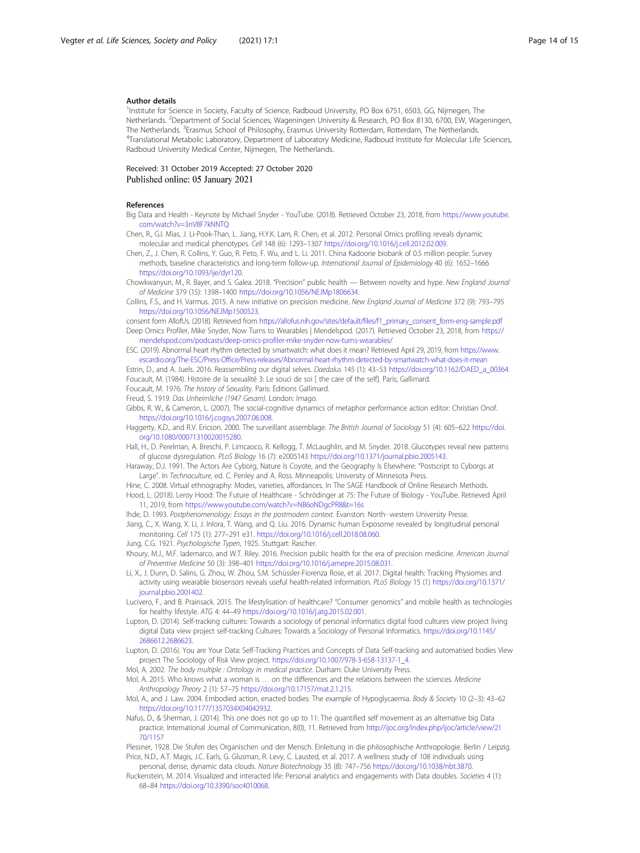#### <span id="page-13-0"></span>Author details

<sup>1</sup>Institute for Science in Society, Faculty of Science, Radboud University, PO Box 6751, 6503, GG, Nijmegen, The Netherlands. <sup>2</sup>Department of Social Sciences, Wageningen University & Research, PO Box 8130, 6700, EW, Wageningen, The Netherlands. <sup>3</sup>Erasmus School of Philosophy, Erasmus University Rotterdam, Rotterdam, The Netherlands.<br><sup>4</sup>Translational Metabolic Laboratony Department of Laboratony Medicine. Badboud Institute for Molecular Life Translational Metabolic Laboratory, Department of Laboratory Medicine, Radboud Institute for Molecular Life Sciences, Radboud University Medical Center, Nijmegen, The Netherlands.

Received: 31 October 2019 Accepted: 27 October 2020 Published online: 05 January 2021

#### References

- Big Data and Health Keynote by Michael Snyder YouTube. (2018). Retrieved October 23, 2018, from [https://www.youtube.](https://www.youtube.com/watch?v=3nV8F7kNNTQ) [com/watch?v=3nV8F7kNNTQ](https://www.youtube.com/watch?v=3nV8F7kNNTQ)
- Chen, R., G.I. Mias, J. Li-Pook-Than, L. Jiang, H.Y.K. Lam, R. Chen, et al. 2012. Personal Omics profiling reveals dynamic molecular and medical phenotypes. Cell 148 (6): 1293–1307 [https://doi.org/10.1016/j.cell.2012.02.009.](https://doi.org/10.1016/j.cell.2012.02.009)
- Chen, Z., J. Chen, R. Collins, Y. Guo, R. Peto, F. Wu, and L. Li. 2011. China Kadoorie biobank of 0.5 million people: Survey methods, baseline characteristics and long-term follow-up. International Journal of Epidemiology 40 (6): 1652–1666 [https://doi.org/10.1093/ije/dyr120.](https://doi.org/10.1093/ije/dyr120)

Chowkwanyun, M., R. Bayer, and S. Galea. 2018. "Precision" public health — Between novelty and hype. New England Journal of Medicine 379 (15): 1398–1400 <https://doi.org/10.1056/NEJMp1806634>.

Collins, F.S., and H. Varmus. 2015. A new initiative on precision medicine. New England Journal of Medicine 372 (9): 793–795 <https://doi.org/10.1056/NEJMp1500523>.

consent form AllofUs. (2018). Retrieved from [https://allofus.nih.gov/sites/default/files/f1\\_primary\\_consent\\_form-eng-sample.pdf](https://allofus.nih.gov/sites/default/files/f1_primary_consent_form-eng-sample.pdf) Deep Omics Profiler, Mike Snyder, Now Turns to Wearables | Mendelspod. (2017). Retrieved October 23, 2018, from [https://](https://mendelspod.com/podcasts/deep-omics-profiler-mike-snyder-now-turns-wearables/) [mendelspod.com/podcasts/deep-omics-profiler-mike-snyder-now-turns-wearables/](https://mendelspod.com/podcasts/deep-omics-profiler-mike-snyder-now-turns-wearables/)

ESC. (2019). Abnormal heart rhythm detected by smartwatch: what does it mean? Retrieved April 29, 2019, from [https://www.](https://www.escardio.org/The-ESC/Press-Office/Press-releases/Abnormal-heart-rhythm-detected-by-smartwatch-what-does-it-mean) [escardio.org/The-ESC/Press-Office/Press-releases/Abnormal-heart-rhythm-detected-by-smartwatch-what-does-it-mean](https://www.escardio.org/The-ESC/Press-Office/Press-releases/Abnormal-heart-rhythm-detected-by-smartwatch-what-does-it-mean)

Estrin, D., and A. Juels. 2016. Reassembling our digital selves. Daedalus 145 (1): 43-53 [https://doi.org/10.1162/DAED\\_a\\_00364](https://doi.org/10.1162/DAED_a_00364). Foucault, M. (1984). Histoire de la sexualité 3: Le souci de soi [ the care of the self]. Paris; Gallimard.

Foucault, M. 1976. The history of Sexuality. Paris: Editions Gallimard.

Freud, S. 1919. Das Unheimliche (1947 Gesam). London: Imago.

- Gibbs, R. W., & Cameron, L. (2007). The social-cognitive dynamics of metaphor performance action editor: Christian Onof. [https://doi.org/10.1016/j.cogsys.2007.06.008.](https://doi.org/10.1016/j.cogsys.2007.06.008)
- Haggerty, K.D., and R.V. Ericson. 2000. The surveillant assemblage. The British Journal of Sociology 51 (4): 605-622 [https://doi.](https://doi.org/10.1080/00071310020015280) [org/10.1080/00071310020015280.](https://doi.org/10.1080/00071310020015280)

Hall, H., D. Perelman, A. Breschi, P. Limcaoco, R. Kellogg, T. McLaughlin, and M. Snyder. 2018. Glucotypes reveal new patterns of glucose dysregulation. PLoS Biology 16 (7): e2005143 <https://doi.org/10.1371/journal.pbio.2005143>.

Haraway, D.J. 1991. The Actors Are Cyborg, Nature Is Coyote, and the Geography Is Elsewhere: "Postscript to Cyborgs at Large". In Technoculture, ed. C. Penley and A. Ross. Minneapolis: University of Minnesota Press.

Hine, C. 2008. Virtual ethnography: Modes, varieties, affordances. In The SAGE Handbook of Online Research Methods. Hood, L. (2018). Leroy Hood: The Future of Healthcare - Schrödinger at 75: The Future of Biology - YouTube. Retrieved April 11, 2019, from <https://www.youtube.com/watch?v=NB6oNDgcPR8&t=16s>

Ihde, D. 1993. Postphenomenology: Essays in the postmodern context. Evanston: North- western University Presse.

- Jiang, C., X. Wang, X. Li, J. Inlora, T. Wang, and Q. Liu. 2016. Dynamic human Exposome revealed by longitudinal personal monitoring. Cell 175 (1): 277–291 e31. [https://doi.org/10.1016/j.cell.2018.08.060.](https://doi.org/10.1016/j.cell.2018.08.060)
- Jung, C.G. 1921. Psychologische Typen, 1925. Stuttgart: Rascher.

Khoury, M.J., M.F. Iademarco, and W.T. Riley. 2016. Precision public health for the era of precision medicine. American Journal of Preventive Medicine 50 (3): 398–401 <https://doi.org/10.1016/j.amepre.2015.08.031>.

Li, X., J. Dunn, D. Salins, G. Zhou, W. Zhou, S.M. Schüssler-Fiorenza Rose, et al. 2017. Digital health: Tracking Physiomes and activity using wearable biosensors reveals useful health-related information. PLoS Biology 15 (1) [https://doi.org/10.1371/](https://doi.org/10.1371/journal.pbio.2001402) [journal.pbio.2001402](https://doi.org/10.1371/journal.pbio.2001402).

Lucivero, F., and B. Prainsack. 2015. The lifestylisation of healthcare? "Consumer genomics" and mobile health as technologies for healthy lifestyle. ATG 4: 44–49 [https://doi.org/10.1016/j.atg.2015.02.001.](https://doi.org/10.1016/j.atg.2015.02.001)

Lupton, D. (2014). Self-tracking cultures: Towards a sociology of personal informatics digital food cultures view project living digital Data view project self-tracking Cultures: Towards a Sociology of Personal Informatics. [https://doi.org/10.1145/](https://doi.org/10.1145/2686612.2686623) [2686612.2686623.](https://doi.org/10.1145/2686612.2686623)

Lupton, D. (2016). You are Your Data: Self-Tracking Practices and Concepts of Data Self-tracking and automatised bodies View project The Sociology of Risk View project. [https://doi.org/10.1007/978-3-658-13137-1\\_4](https://doi.org/10.1007/978-3-658-13137-1_4).

Mol, A. 2002. The body multiple : Ontology in medical practice. Durham: Duke University Press.

Mol, A. 2015. Who knows what a woman is … on the differences and the relations between the sciences. Medicine Anthropology Theory 2 (1): 57–75 [https://doi.org/10.17157/mat.2.1.215.](https://doi.org/10.17157/mat.2.1.215)

Mol, A., and J. Law. 2004. Embodied action, enacted bodies: The example of Hypoglycaemia. Body & Society 10 (2–3): 43–62 [https://doi.org/10.1177/1357034X04042932.](https://doi.org/10.1177/1357034X04042932)

Nafus, D., & Sherman, J. (2014). This one does not go up to 11: The quantified self movement as an alternative big Data practice. International Journal of Communication, 8(0), 11. Retrieved from [http://ijoc.org/index.php/ijoc/article/view/21](http://ijoc.org/index.php/ijoc/article/view/2170/1157) [70/1157](http://ijoc.org/index.php/ijoc/article/view/2170/1157)

Plessner, 1928. Die Stufen des Organischen und der Mensch. Einleitung in die philosophische Anthropologie. Berlin / Leipzig. Price, N.D., A.T. Magis, J.C. Earls, G. Glusman, R. Levy, C. Lausted, et al. 2017. A wellness study of 108 individuals using

personal, dense, dynamic data clouds. Nature Biotechnology 35 (8): 747–756 <https://doi.org/10.1038/nbt.3870>. Ruckenstein, M. 2014. Visualized and interacted life: Personal analytics and engagements with Data doubles. Societies 4 (1): 68–84 [https://doi.org/10.3390/soc4010068.](https://doi.org/10.3390/soc4010068)